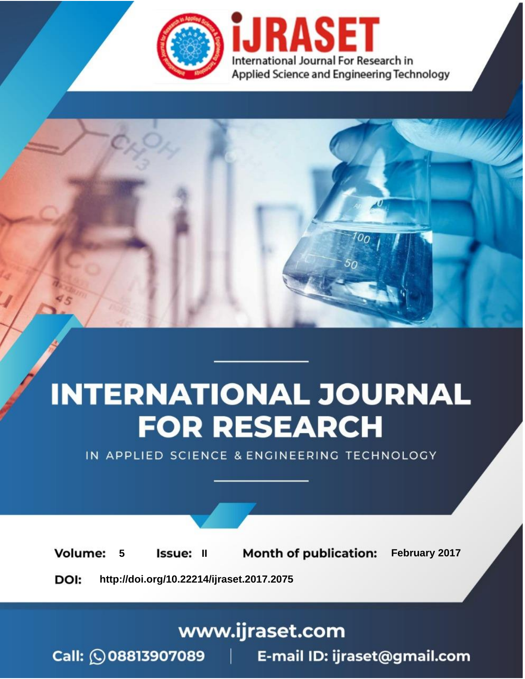

# **INTERNATIONAL JOURNAL FOR RESEARCH**

IN APPLIED SCIENCE & ENGINEERING TECHNOLOGY

**Month of publication: Volume:** February 2017 5 **Issue: II** DOI: http://doi.org/10.22214/ijraset.2017.2075

www.ijraset.com

Call: 008813907089 | E-mail ID: ijraset@gmail.com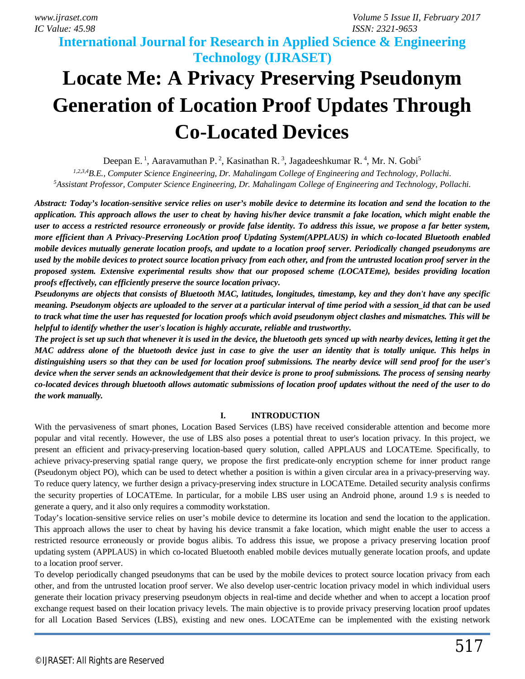### **International Journal for Research in Applied Science & Engineering Technology (IJRASET)**

## **Locate Me: A Privacy Preserving Pseudonym Generation of Location Proof Updates Through Co-Located Devices**

Deepan E.<sup>1</sup>, Aaravamuthan P.<sup>2</sup>, Kasinathan R.<sup>3</sup>, Jagadeeshkumar R.<sup>4</sup>, Mr. N. Gobi<sup>5</sup>

*1,2,3,4B.E., Computer Science Engineering, Dr. Mahalingam College of Engineering and Technology, Pollachi. <sup>5</sup>Assistant Professor, Computer Science Engineering, Dr. Mahalingam College of Engineering and Technology, Pollachi.*

*Abstract: Today's location-sensitive service relies on user's mobile device to determine its location and send the location to the application. This approach allows the user to cheat by having his/her device transmit a fake location, which might enable the user to access a restricted resource erroneously or provide false identity. To address this issue, we propose a far better system, more efficient than A Privacy-Preserving LocAtion proof Updating System(APPLAUS) in which co-located Bluetooth enabled mobile devices mutually generate location proofs, and update to a location proof server. Periodically changed pseudonyms are used by the mobile devices to protect source location privacy from each other, and from the untrusted location proof server in the proposed system. Extensive experimental results show that our proposed scheme (LOCATEme), besides providing location proofs effectively, can efficiently preserve the source location privacy.*

*Pseudonyms are objects that consists of Bluetooth MAC, latitudes, longitudes, timestamp, key and they don't have any specific meaning. Pseudonym objects are uploaded to the server at a particular interval of time period with a session id that can be used to track what time the user has requested for location proofs which avoid pseudonym object clashes and mismatches. This will be helpful to identify whether the user's location is highly accurate, reliable and trustworthy.*

*The project is set up such that whenever it is used in the device, the bluetooth gets synced up with nearby devices, letting it get the MAC address alone of the bluetooth device just in case to give the user an identity that is totally unique. This helps in distinguishing users so that they can be used for location proof submissions. The nearby device will send proof for the user's device when the server sends an acknowledgement that their device is prone to proof submissions. The process of sensing nearby co-located devices through bluetooth allows automatic submissions of location proof updates without the need of the user to do the work manually.*

### **I. INTRODUCTION**

With the pervasiveness of smart phones, Location Based Services (LBS) have received considerable attention and become more popular and vital recently. However, the use of LBS also poses a potential threat to user's location privacy. In this project, we present an efficient and privacy-preserving location-based query solution, called APPLAUS and LOCATEme. Specifically, to achieve privacy-preserving spatial range query, we propose the first predicate-only encryption scheme for inner product range (Pseudonym object PO), which can be used to detect whether a position is within a given circular area in a privacy-preserving way. To reduce query latency, we further design a privacy-preserving index structure in LOCATEme. Detailed security analysis confirms the security properties of LOCATEme. In particular, for a mobile LBS user using an Android phone, around 1.9 s is needed to generate a query, and it also only requires a commodity workstation.

Today's location-sensitive service relies on user's mobile device to determine its location and send the location to the application. This approach allows the user to cheat by having his device transmit a fake location, which might enable the user to access a restricted resource erroneously or provide bogus alibis. To address this issue, we propose a privacy preserving location proof updating system (APPLAUS) in which co-located Bluetooth enabled mobile devices mutually generate location proofs, and update to a location proof server.

To develop periodically changed pseudonyms that can be used by the mobile devices to protect source location privacy from each other, and from the untrusted location proof server. We also develop user-centric location privacy model in which individual users generate their location privacy preserving pseudonym objects in real-time and decide whether and when to accept a location proof exchange request based on their location privacy levels. The main objective is to provide privacy preserving location proof updates for all Location Based Services (LBS), existing and new ones. LOCATEme can be implemented with the existing network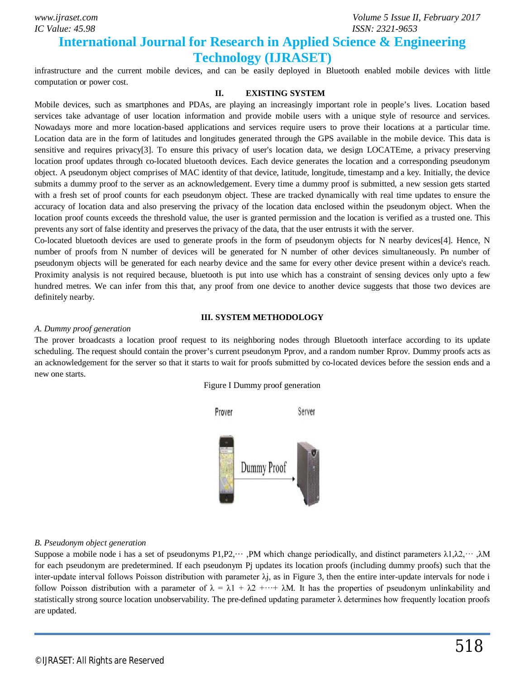*IC Value: 45.98 ISSN: 2321-9653*

### **International Journal for Research in Applied Science & Engineering Technology (IJRASET)**

infrastructure and the current mobile devices, and can be easily deployed in Bluetooth enabled mobile devices with little computation or power cost.

### **II. EXISTING SYSTEM**

Mobile devices, such as smartphones and PDAs, are playing an increasingly important role in people's lives. Location based services take advantage of user location information and provide mobile users with a unique style of resource and services. Nowadays more and more location-based applications and services require users to prove their locations at a particular time. Location data are in the form of latitudes and longitudes generated through the GPS available in the mobile device. This data is sensitive and requires privacy[3]. To ensure this privacy of user's location data, we design LOCATEme, a privacy preserving location proof updates through co-located bluetooth devices. Each device generates the location and a corresponding pseudonym object. A pseudonym object comprises of MAC identity of that device, latitude, longitude, timestamp and a key. Initially, the device submits a dummy proof to the server as an acknowledgement. Every time a dummy proof is submitted, a new session gets started with a fresh set of proof counts for each pseudonym object. These are tracked dynamically with real time updates to ensure the accuracy of location data and also preserving the privacy of the location data enclosed within the pseudonym object. When the location proof counts exceeds the threshold value, the user is granted permission and the location is verified as a trusted one. This prevents any sort of false identity and preserves the privacy of the data, that the user entrusts it with the server.

Co-located bluetooth devices are used to generate proofs in the form of pseudonym objects for N nearby devices[4]. Hence, N number of proofs from N number of devices will be generated for N number of other devices simultaneously. Pn number of pseudonym objects will be generated for each nearby device and the same for every other device present within a device's reach. Proximity analysis is not required because, bluetooth is put into use which has a constraint of sensing devices only upto a few hundred metres. We can infer from this that, any proof from one device to another device suggests that those two devices are definitely nearby.

#### **III. SYSTEM METHODOLOGY**

#### *A. Dummy proof generation*

The prover broadcasts a location proof request to its neighboring nodes through Bluetooth interface according to its update scheduling. The request should contain the prover's current pseudonym Pprov, and a random number Rprov. Dummy proofs acts as an acknowledgement for the server so that it starts to wait for proofs submitted by co-located devices before the session ends and a new one starts.





### *B. Pseudonym object generation*

Suppose a mobile node i has a set of pseudonyms  $P1,P2,\cdots$ , PM which change periodically, and distinct parameters  $\lambda 1,\lambda 2,\cdots,\lambda M$ for each pseudonym are predetermined. If each pseudonym Pj updates its location proofs (including dummy proofs) such that the inter-update interval follows Poisson distribution with parameter  $\lambda j$ , as in Figure 3, then the entire inter-update intervals for node i follow Poisson distribution with a parameter of  $\lambda = \lambda_1 + \lambda_2 + \cdots + \lambda_M$ . It has the properties of pseudonym unlinkability and statistically strong source location unobservability. The pre-defined updating parameter  $\lambda$  determines how frequently location proofs are updated.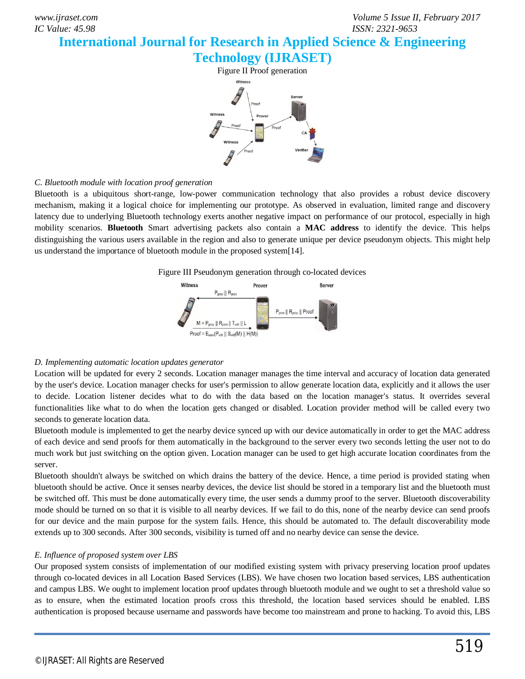### **International Journal for Research in Applied Science & Engineering**



### *C. Bluetooth module with location proof generation*

Bluetooth is a ubiquitous short-range, low-power communication technology that also provides a robust device discovery mechanism, making it a logical choice for implementing our prototype. As observed in evaluation, limited range and discovery latency due to underlying Bluetooth technology exerts another negative impact on performance of our protocol, especially in high mobility scenarios. **Bluetooth** Smart advertising packets also contain a **MAC address** to identify the device. This helps distinguishing the various users available in the region and also to generate unique per device pseudonym objects. This might help us understand the importance of bluetooth module in the proposed system[14].





### *D. Implementing automatic location updates generator*

Location will be updated for every 2 seconds. Location manager manages the time interval and accuracy of location data generated by the user's device. Location manager checks for user's permission to allow generate location data, explicitly and it allows the user to decide. Location listener decides what to do with the data based on the location manager's status. It overrides several functionalities like what to do when the location gets changed or disabled. Location provider method will be called every two seconds to generate location data.

Bluetooth module is implemented to get the nearby device synced up with our device automatically in order to get the MAC address of each device and send proofs for them automatically in the background to the server every two seconds letting the user not to do much work but just switching on the option given. Location manager can be used to get high accurate location coordinates from the server.

Bluetooth shouldn't always be switched on which drains the battery of the device. Hence, a time period is provided stating when bluetooth should be active. Once it senses nearby devices, the device list should be stored in a temporary list and the bluetooth must be switched off. This must be done automatically every time, the user sends a dummy proof to the server. Bluetooth discoverability mode should be turned on so that it is visible to all nearby devices. If we fail to do this, none of the nearby device can send proofs for our device and the main purpose for the system fails. Hence, this should be automated to. The default discoverability mode extends up to 300 seconds. After 300 seconds, visibility is turned off and no nearby device can sense the device.

### *E. Influence of proposed system over LBS*

Our proposed system consists of implementation of our modified existing system with privacy preserving location proof updates through co-located devices in all Location Based Services (LBS). We have chosen two location based services, LBS authentication and campus LBS. We ought to implement location proof updates through bluetooth module and we ought to set a threshold value so as to ensure, when the estimated location proofs cross this threshold, the location based services should be enabled. LBS authentication is proposed because username and passwords have become too mainstream and prone to hacking. To avoid this, LBS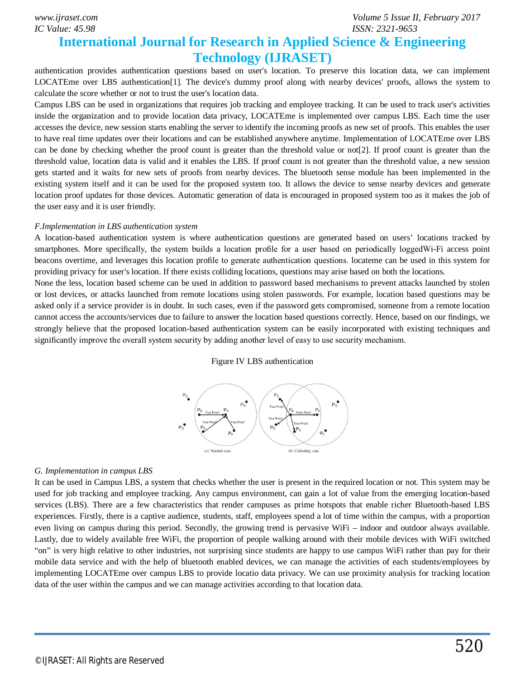*IC Value: 45.98 ISSN: 2321-9653*

### **International Journal for Research in Applied Science & Engineering Technology (IJRASET)**

authentication provides authentication questions based on user's location. To preserve this location data, we can implement LOCATEme over LBS authentication[1]. The device's dummy proof along with nearby devices' proofs, allows the system to calculate the score whether or not to trust the user's location data.

Campus LBS can be used in organizations that requires job tracking and employee tracking. It can be used to track user's activities inside the organization and to provide location data privacy, LOCATEme is implemented over campus LBS. Each time the user accesses the device, new session starts enabling the server to identify the incoming proofs as new set of proofs. This enables the user to have real time updates over their locations and can be established anywhere anytime. Implementation of LOCATEme over LBS can be done by checking whether the proof count is greater than the threshold value or not[2]. If proof count is greater than the threshold value, location data is valid and it enables the LBS. If proof count is not greater than the threshold value, a new session gets started and it waits for new sets of proofs from nearby devices. The bluetooth sense module has been implemented in the existing system itself and it can be used for the proposed system too. It allows the device to sense nearby devices and generate location proof updates for those devices. Automatic generation of data is encouraged in proposed system too as it makes the job of the user easy and it is user friendly.

#### *F.Implementation in LBS authentication system*

A location-based authentication system is where authentication questions are generated based on users' locations tracked by smartphones. More specifically, the system builds a location profile for a user based on periodically loggedWi-Fi access point beacons overtime, and leverages this location profile to generate authentication questions. locateme can be used in this system for providing privacy for user's location. If there exists colliding locations, questions may arise based on both the locations.

None the less, location based scheme can be used in addition to password based mechanisms to prevent attacks launched by stolen or lost devices, or attacks launched from remote locations using stolen passwords. For example, location based questions may be asked only if a service provider is in doubt. In such cases, even if the password gets compromised, someone from a remote location cannot access the accounts/services due to failure to answer the location based questions correctly. Hence, based on our findings, we strongly believe that the proposed location-based authentication system can be easily incorporated with existing techniques and significantly improve the overall system security by adding another level of easy to use security mechanism.

#### Figure IV LBS authentication



### *G. Implementation in campus LBS*

It can be used in Campus LBS, a system that checks whether the user is present in the required location or not. This system may be used for job tracking and employee tracking. Any campus environment, can gain a lot of value from the emerging location-based services (LBS). There are a few characteristics that render campuses as prime hotspots that enable richer Bluetooth-based LBS experiences. Firstly, there is a captive audience, students, staff, employees spend a lot of time within the campus, with a proportion even living on campus during this period. Secondly, the growing trend is pervasive WiFi – indoor and outdoor always available. Lastly, due to widely available free WiFi, the proportion of people walking around with their mobile devices with WiFi switched "on" is very high relative to other industries, not surprising since students are happy to use campus WiFi rather than pay for their mobile data service and with the help of bluetooth enabled devices, we can manage the activities of each students/employees by implementing LOCATEme over campus LBS to provide locatio data privacy. We can use proximity analysis for tracking location data of the user within the campus and we can manage activities according to that location data.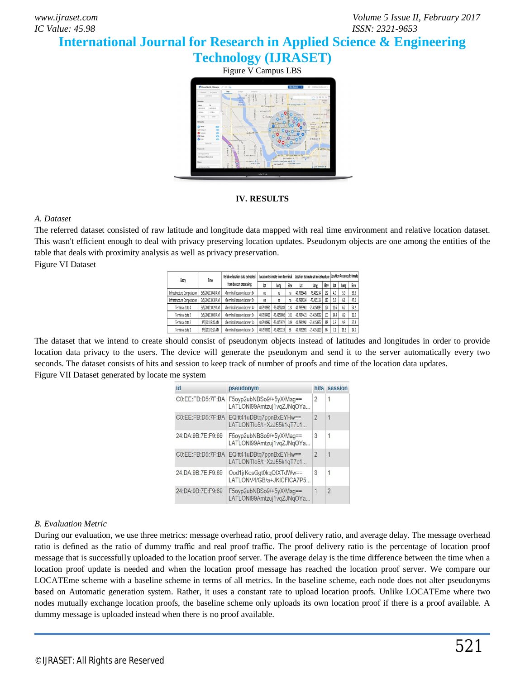*www.ijraset.com Volume 5 Issue II, February 2017*

### **International Journal for Research in Applied Science & Engineering**

**Technology (IJRASET)**

Figure V Campus LBS



### **IV. RESULTS**

### *A. Dataset*

The referred dataset consisted of raw latitude and longitude data mapped with real time environment and relative location dataset. This wasn't efficient enough to deal with privacy preserving location updates. Pseudonym objects are one among the entities of the table that deals with proximity analysis as well as privacy preservation. Figure VI Dataset

| Entry                      | Time              | Relative location data extracted<br>from beacon processing        | Location Estimate from Terminal |               |     | I Location Estimate at Infrastructure   Location Accuracy Estimate |               |     |      |      |      |
|----------------------------|-------------------|-------------------------------------------------------------------|---------------------------------|---------------|-----|--------------------------------------------------------------------|---------------|-----|------|------|------|
|                            |                   |                                                                   | lat                             | Long          | Hev | Lat                                                                | long          | Hev | Lat  | lone | Hev  |
| Infrastructure Computation | 3/5/2010 10:45 AM | <terminal 6="" beacon="" data="" set=""></terminal>               | na                              | na            | na. | 40.7936445                                                         | $-73,415234$  | 162 | 4.9  | 59   | 39.6 |
| Infrastructure Computation | 3/5/2010 10:30 AM | <terminal 5="" beacon="" data="" set=""></terminal>               | na                              | na            | na. | 40.7934334                                                         | $-73.415133$  | 217 | 53   | 61   | 47.0 |
| Terminal data 4            | 3/5/2010 10:29 AM | <terminal <math="" beacon="" data="" set="">\spadesuit</terminal> | 40.7933961                      | -73.4150283   | 124 | 40.7933961                                                         | $-73.4150283$ | 124 | 12.6 | 62   | 54.2 |
| Terminal data 3            | 3/5/2010 10:03 AM | <terminal 3="" beaton="" data="" set=""></terminal>               | 40.7934421                      | -73,4150002   | 101 | 40.7934421                                                         | $-73.4150002$ | 101 | 14.8 | 82   | 12.0 |
| Terminal data 2            | 3/5/2010 9:42 AM  | <terminal 2="" beaton="" data="" set=""></terminal>               | 40.7934992                      | $-73.4153972$ | 319 | 40.7934992                                                         | $-73.4153972$ | 319 | 28   | 99   | 27.3 |
| Terminal data 1            | 3/5/20109:27 AM   | <terminal 1="" beaton="" data="" set=""></terminal>               | 40.7939991                      | $-73.4151119$ | 86  | 40.793999                                                          | $-73.4151119$ | 86  |      | 19.2 | 14.0 |

The dataset that we intend to create should consist of pseudonym objects instead of latitudes and longitudes in order to provide location data privacy to the users. The device will generate the pseudonym and send it to the server automatically every two seconds. The dataset consists of hits and session to keep track of number of proofs and time of the location data updates. Figure VII Dataset generated by locate me system

| id                | pseudonym                                             |                | hits session   |
|-------------------|-------------------------------------------------------|----------------|----------------|
| C0:EE:FB:D5:7F:BA | F5oyp2ubNBSo9/+5yX/Mag==<br>LATLONI99Amtzuj1vqZJNqOYa | $\overline{2}$ | 1              |
| CO:EE:FB:D5:7F:BA | EQItt41uDBtg7ppnBxEYHw==<br>LATLONTIo5/t+XzJ55k1qT7c1 | $\overline{2}$ | 1              |
| 24:DA:9B:7E:F9:69 | F5oyp2ubNBSo9/+5yX/Mag==<br>LATLONI99Amtzuj1vqZJNqOYa | 3              | 1              |
| CO:EE:FB:D5:7F:BA | EQltt41uDBtq7ppnBxEYHw==<br>LATLONTIo5/t+XzJ55k1qT7c1 | $\overline{2}$ |                |
| 24:DA:9B:7E:F9:69 | Ood1jrKosGgt0kgQIXTdWw==<br>LATLONV4/GB/a+JKICFICA7P5 | 3              | 1              |
| 24:DA:9B:7E:F9:69 | F5oyp2ubNBSo9/+5yX/Mag==<br>LATLONI99Amtzuj1vqZJNqOYa | 1              | $\overline{2}$ |

### *B. Evaluation Metric*

During our evaluation, we use three metrics: message overhead ratio, proof delivery ratio, and average delay. The message overhead ratio is defined as the ratio of dummy traffic and real proof traffic. The proof delivery ratio is the percentage of location proof message that is successfully uploaded to the location proof server. The average delay is the time difference between the time when a location proof update is needed and when the location proof message has reached the location proof server. We compare our LOCATEme scheme with a baseline scheme in terms of all metrics. In the baseline scheme, each node does not alter pseudonyms based on Automatic generation system. Rather, it uses a constant rate to upload location proofs. Unlike LOCATEme where two nodes mutually exchange location proofs, the baseline scheme only uploads its own location proof if there is a proof available. A dummy message is uploaded instead when there is no proof available.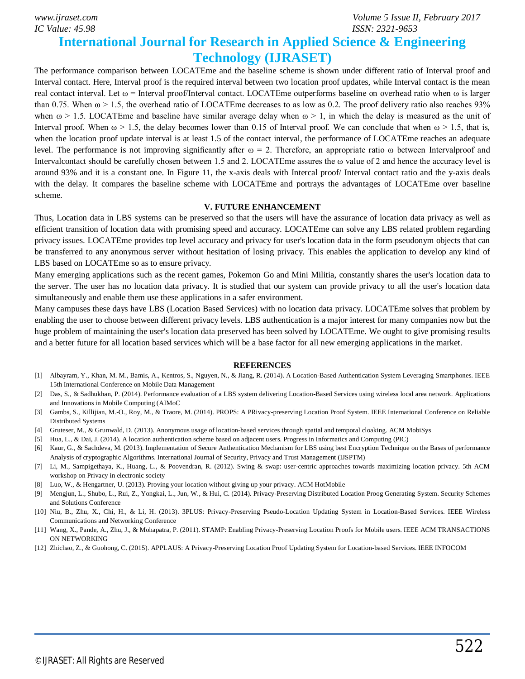*IC Value: 45.98 ISSN: 2321-9653*

### **International Journal for Research in Applied Science & Engineering Technology (IJRASET)**

The performance comparison between LOCATEme and the baseline scheme is shown under different ratio of Interval proof and Interval contact. Here, Interval proof is the required interval between two location proof updates, while Interval contact is the mean real contact interval. Let ω = Interval proof/Interval contact. LOCATEme outperforms baseline on overhead ratio when ω is larger than 0.75. When  $\omega > 1.5$ , the overhead ratio of LOCATEme decreases to as low as 0.2. The proof delivery ratio also reaches 93% when  $\omega > 1.5$ . LOCATEme and baseline have similar average delay when  $\omega > 1$ , in which the delay is measured as the unit of Interval proof. When  $\omega > 1.5$ , the delay becomes lower than 0.15 of Interval proof. We can conclude that when  $\omega > 1.5$ , that is, when the location proof update interval is at least 1.5 of the contact interval, the performance of LOCATEme reaches an adequate level. The performance is not improving significantly after  $\omega = 2$ . Therefore, an appropriate ratio  $\omega$  between Intervalproof and Intervalcontact should be carefully chosen between 1.5 and 2. LOCATEme assures the ω value of 2 and hence the accuracy level is around 93% and it is a constant one. In Figure 11, the x-axis deals with Intercal proof/ Interval contact ratio and the y-axis deals with the delay. It compares the baseline scheme with LOCATEme and portrays the advantages of LOCATEme over baseline scheme.

#### **V. FUTURE ENHANCEMENT**

Thus, Location data in LBS systems can be preserved so that the users will have the assurance of location data privacy as well as efficient transition of location data with promising speed and accuracy. LOCATEme can solve any LBS related problem regarding privacy issues. LOCATEme provides top level accuracy and privacy for user's location data in the form pseudonym objects that can be transferred to any anonymous server without hesitation of losing privacy. This enables the application to develop any kind of LBS based on LOCATEme so as to ensure privacy.

Many emerging applications such as the recent games, Pokemon Go and Mini Militia, constantly shares the user's location data to the server. The user has no location data privacy. It is studied that our system can provide privacy to all the user's location data simultaneously and enable them use these applications in a safer environment.

Many campuses these days have LBS (Location Based Services) with no location data privacy. LOCATEme solves that problem by enabling the user to choose between different privacy levels. LBS authentication is a major interest for many companies now but the huge problem of maintaining the user's location data preserved has been solved by LOCATEme. We ought to give promising results and a better future for all location based services which will be a base factor for all new emerging applications in the market.

### **REFERENCES**

- [1] Albayram, Y., Khan, M. M., Bamis, A., Kentros, S., Nguyen, N., & Jiang, R. (2014). A Location-Based Authentication System Leveraging Smartphones. IEEE 15th International Conference on Mobile Data Management
- [2] Das, S., & Sadhukhan, P. (2014). Performance evaluation of a LBS system delivering Location-Based Services using wireless local area network. Applications and Innovations in Mobile Computing (AIMoC
- [3] Gambs, S., Killijian, M.-O., Roy, M., & Traore, M. (2014). PROPS: A PRivacy-preserving Location Proof System. IEEE International Conference on Reliable Distributed Systems
- [4] Gruteser, M., & Grunwald, D. (2013). Anonymous usage of location-based services through spatial and temporal cloaking. ACM MobiSys
- [5] Hua, L., & Dai, J. (2014). A location authentication scheme based on adjacent users. Progress in Informatics and Computing (PIC)
- [6] Kaur, G., & Sachdeva, M. (2013). Implementation of Secure Authentication Mechanism for LBS using best Encryption Technique on the Bases of performance Analysis of cryptographic Algorithms. International Journal of Security, Privacy and Trust Management (IJSPTM)
- [7] Li, M., Sampigethaya, K., Huang, L., & Poovendran, R. (2012). Swing & swap: user-centric approaches towards maximizing location privacy. 5th ACM workshop on Privacy in electronic society
- [8] Luo, W., & Hengartner, U. (2013). Proving your location without giving up your privacy. ACM HotMobile
- [9] Mengjun, L., Shubo, L., Rui, Z., Yongkai, L., Jun, W., & Hui, C. (2014). Privacy-Preserving Distributed Location Proog Generating System. Security Schemes and Solutions Conference
- [10] Niu, B., Zhu, X., Chi, H., & Li, H. (2013). 3PLUS: Privacy-Preserving Pseudo-Location Updating System in Location-Based Services. IEEE Wireless Communications and Networking Conference
- [11] Wang, X., Pande, A., Zhu, J., & Mohapatra, P. (2011). STAMP: Enabling Privacy-Preserving Location Proofs for Mobile users. IEEE ACM TRANSACTIONS ON NETWORKING
- [12] Zhichao, Z., & Guohong, C. (2015). APPLAUS: A Privacy-Preserving Location Proof Updating System for Location-based Services. IEEE INFOCOM